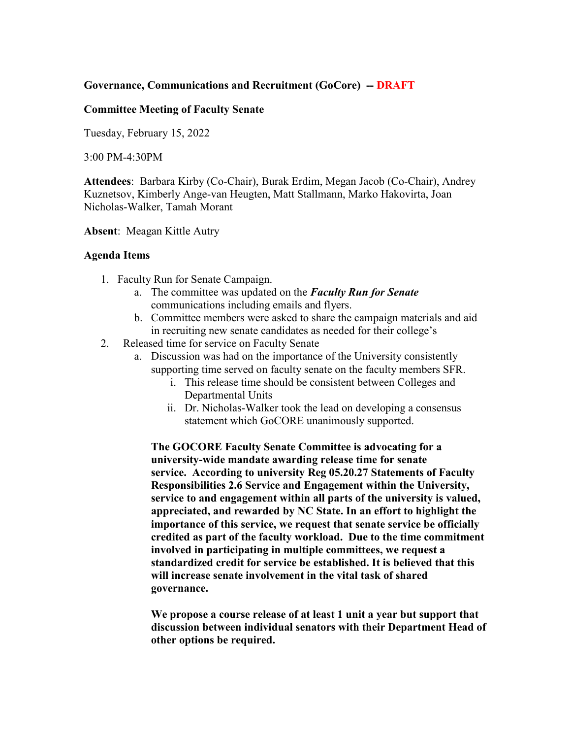## **Governance, Communications and Recruitment (GoCore) -- DRAFT**

## **Committee Meeting of Faculty Senate**

Tuesday, February 15, 2022

3:00 PM-4:30PM

**Attendees**: Barbara Kirby (Co-Chair), Burak Erdim, Megan Jacob (Co-Chair), Andrey Kuznetsov, Kimberly Ange-van Heugten, Matt Stallmann, Marko Hakovirta, Joan Nicholas-Walker, Tamah Morant

**Absent**: Meagan Kittle Autry

## **Agenda Items**

- 1. Faculty Run for Senate Campaign.
	- a. The committee was updated on the *Faculty Run for Senate*  communications including emails and flyers.
	- b. Committee members were asked to share the campaign materials and aid in recruiting new senate candidates as needed for their college's
- 2. Released time for service on Faculty Senate
	- a. Discussion was had on the importance of the University consistently supporting time served on faculty senate on the faculty members SFR.
		- i. This release time should be consistent between Colleges and Departmental Units
		- ii. Dr. Nicholas-Walker took the lead on developing a consensus statement which GoCORE unanimously supported.

**The GOCORE Faculty Senate Committee is advocating for a university-wide mandate awarding release time for senate service. According to university Reg 05.20.27 Statements of Faculty Responsibilities 2.6 Service and Engagement within the University, service to and engagement within all parts of the university is valued, appreciated, and rewarded by NC State. In an effort to highlight the importance of this service, we request that senate service be officially credited as part of the faculty workload. Due to the time commitment involved in participating in multiple committees, we request a standardized credit for service be established. It is believed that this will increase senate involvement in the vital task of shared governance.**

**We propose a course release of at least 1 unit a year but support that discussion between individual senators with their Department Head of other options be required.**